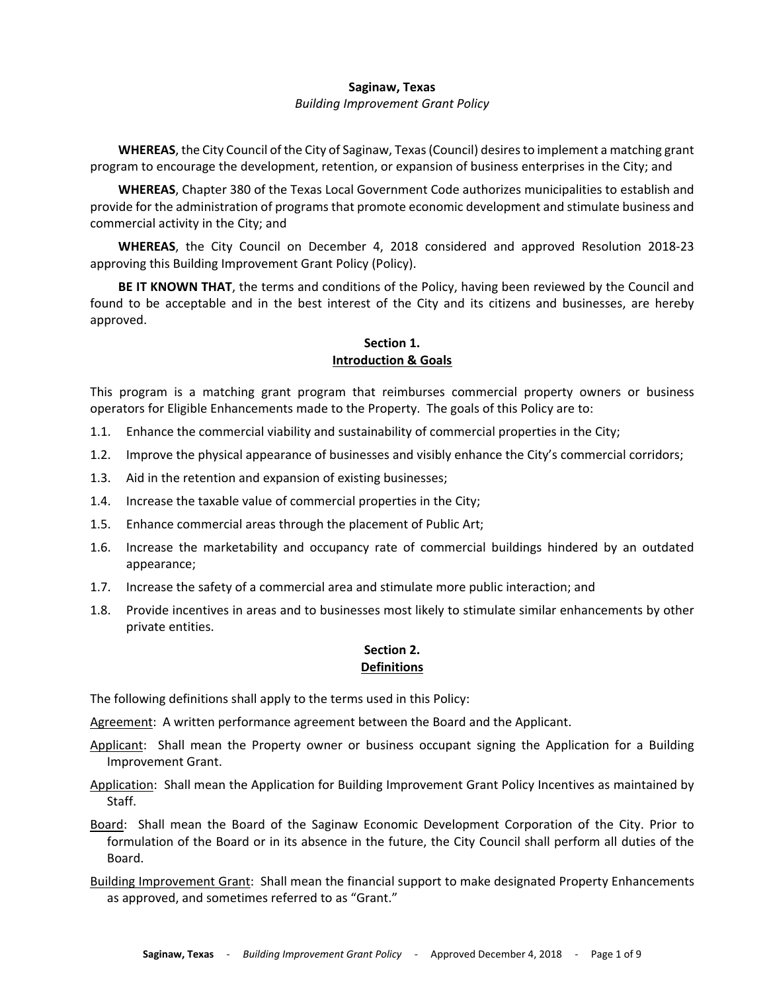#### **Saginaw, Texas**

#### *Building Improvement Grant Policy*

**WHEREAS**, the City Council of the City of Saginaw, Texas (Council) desires to implement a matching grant program to encourage the development, retention, or expansion of business enterprises in the City; and

**WHEREAS**, Chapter 380 of the Texas Local Government Code authorizes municipalities to establish and provide for the administration of programs that promote economic development and stimulate business and commercial activity in the City; and

**WHEREAS**, the City Council on December 4, 2018 considered and approved Resolution 2018‐23 approving this Building Improvement Grant Policy (Policy).

**BE IT KNOWN THAT**, the terms and conditions of the Policy, having been reviewed by the Council and found to be acceptable and in the best interest of the City and its citizens and businesses, are hereby approved.

## **Section 1. Introduction & Goals**

This program is a matching grant program that reimburses commercial property owners or business operators for Eligible Enhancements made to the Property. The goals of this Policy are to:

- 1.1. Enhance the commercial viability and sustainability of commercial properties in the City;
- 1.2. Improve the physical appearance of businesses and visibly enhance the City's commercial corridors;
- 1.3. Aid in the retention and expansion of existing businesses;
- 1.4. Increase the taxable value of commercial properties in the City;
- 1.5. Enhance commercial areas through the placement of Public Art;
- 1.6. Increase the marketability and occupancy rate of commercial buildings hindered by an outdated appearance;
- 1.7. Increase the safety of a commercial area and stimulate more public interaction; and
- 1.8. Provide incentives in areas and to businesses most likely to stimulate similar enhancements by other private entities.

### **Section 2. Definitions**

The following definitions shall apply to the terms used in this Policy:

Agreement: A written performance agreement between the Board and the Applicant.

- Applicant: Shall mean the Property owner or business occupant signing the Application for a Building Improvement Grant.
- Application: Shall mean the Application for Building Improvement Grant Policy Incentives as maintained by Staff.
- Board: Shall mean the Board of the Saginaw Economic Development Corporation of the City. Prior to formulation of the Board or in its absence in the future, the City Council shall perform all duties of the Board.

Building Improvement Grant: Shall mean the financial support to make designated Property Enhancements as approved, and sometimes referred to as "Grant."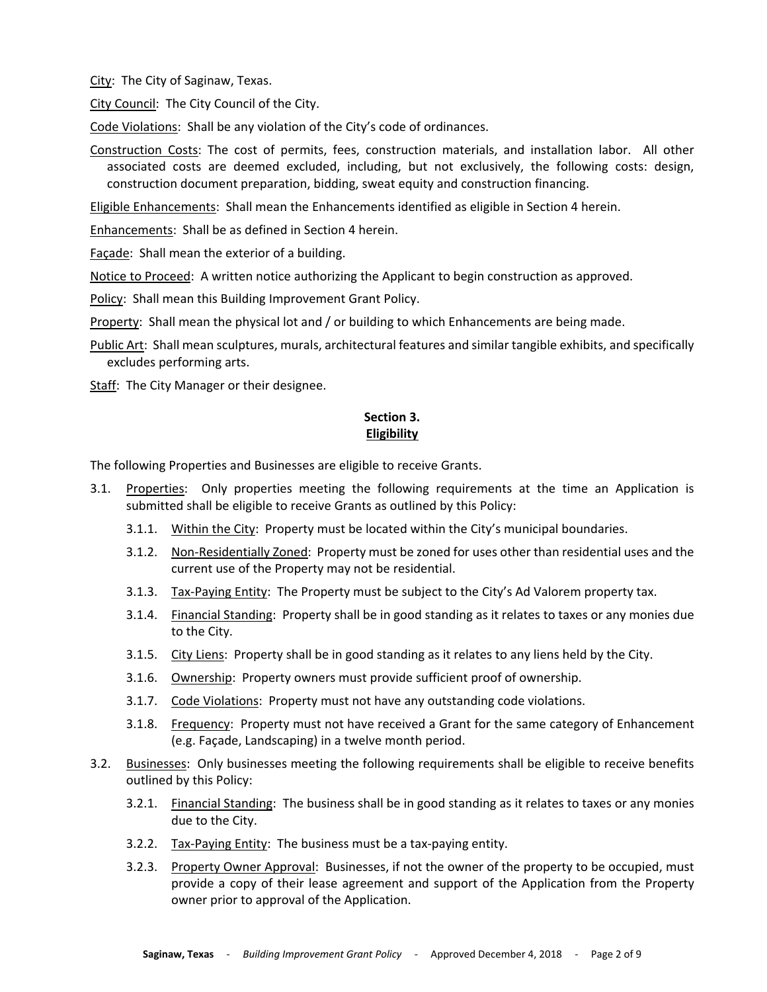City: The City of Saginaw, Texas.

City Council: The City Council of the City.

Code Violations: Shall be any violation of the City's code of ordinances.

Construction Costs: The cost of permits, fees, construction materials, and installation labor. All other associated costs are deemed excluded, including, but not exclusively, the following costs: design, construction document preparation, bidding, sweat equity and construction financing.

Eligible Enhancements: Shall mean the Enhancements identified as eligible in Section 4 herein.

Enhancements: Shall be as defined in Section 4 herein.

Façade: Shall mean the exterior of a building.

Notice to Proceed: A written notice authorizing the Applicant to begin construction as approved.

Policy: Shall mean this Building Improvement Grant Policy.

Property: Shall mean the physical lot and / or building to which Enhancements are being made.

Public Art: Shall mean sculptures, murals, architectural features and similar tangible exhibits, and specifically excludes performing arts.

Staff: The City Manager or their designee.

# **Section 3. Eligibility**

The following Properties and Businesses are eligible to receive Grants.

- 3.1. Properties: Only properties meeting the following requirements at the time an Application is submitted shall be eligible to receive Grants as outlined by this Policy:
	- 3.1.1. Within the City: Property must be located within the City's municipal boundaries.
	- 3.1.2. Non-Residentially Zoned: Property must be zoned for uses other than residential uses and the current use of the Property may not be residential.
	- 3.1.3. Tax-Paying Entity: The Property must be subject to the City's Ad Valorem property tax.
	- 3.1.4. Financial Standing: Property shall be in good standing as it relates to taxes or any monies due to the City.
	- 3.1.5. City Liens: Property shall be in good standing as it relates to any liens held by the City.
	- 3.1.6. Ownership: Property owners must provide sufficient proof of ownership.
	- 3.1.7. Code Violations: Property must not have any outstanding code violations.
	- 3.1.8. Frequency: Property must not have received a Grant for the same category of Enhancement (e.g. Façade, Landscaping) in a twelve month period.
- 3.2. Businesses: Only businesses meeting the following requirements shall be eligible to receive benefits outlined by this Policy:
	- 3.2.1. Financial Standing: The business shall be in good standing as it relates to taxes or any monies due to the City.
	- 3.2.2. Tax-Paying Entity: The business must be a tax-paying entity.
	- 3.2.3. Property Owner Approval: Businesses, if not the owner of the property to be occupied, must provide a copy of their lease agreement and support of the Application from the Property owner prior to approval of the Application.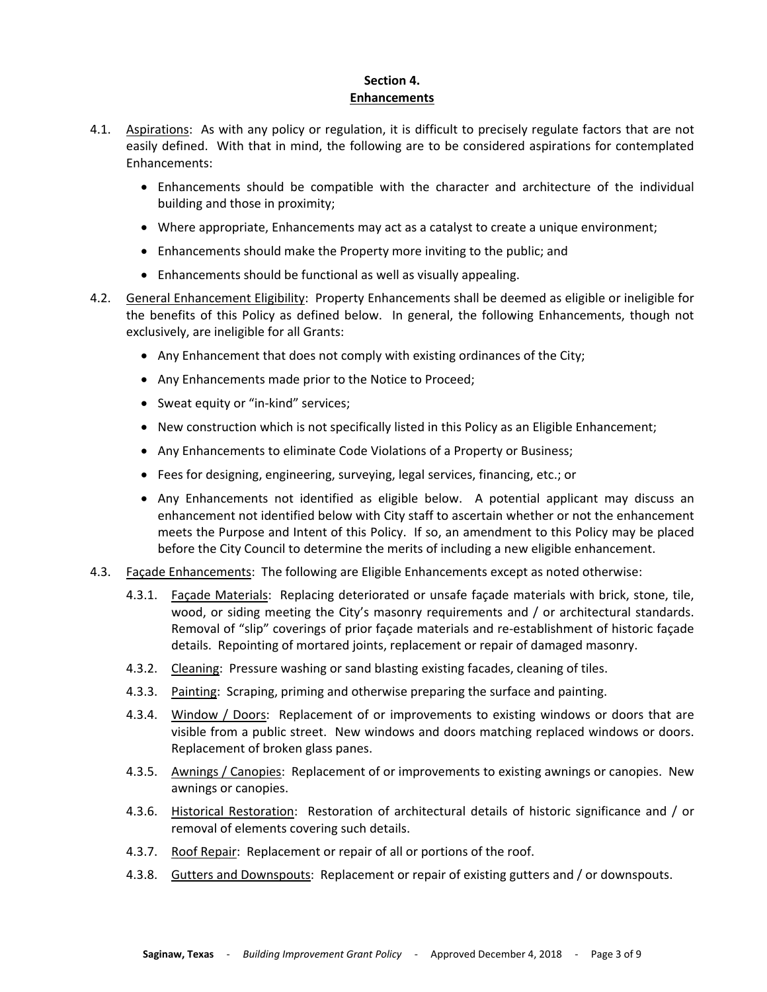### **Section 4. Enhancements**

- 4.1. Aspirations: As with any policy or regulation, it is difficult to precisely regulate factors that are not easily defined. With that in mind, the following are to be considered aspirations for contemplated Enhancements:
	- Enhancements should be compatible with the character and architecture of the individual building and those in proximity;
	- Where appropriate, Enhancements may act as a catalyst to create a unique environment;
	- Enhancements should make the Property more inviting to the public; and
	- Enhancements should be functional as well as visually appealing.
- 4.2. General Enhancement Eligibility: Property Enhancements shall be deemed as eligible or ineligible for the benefits of this Policy as defined below. In general, the following Enhancements, though not exclusively, are ineligible for all Grants:
	- Any Enhancement that does not comply with existing ordinances of the City;
	- Any Enhancements made prior to the Notice to Proceed;
	- Sweat equity or "in-kind" services;
	- New construction which is not specifically listed in this Policy as an Eligible Enhancement;
	- Any Enhancements to eliminate Code Violations of a Property or Business;
	- Fees for designing, engineering, surveying, legal services, financing, etc.; or
	- Any Enhancements not identified as eligible below. A potential applicant may discuss an enhancement not identified below with City staff to ascertain whether or not the enhancement meets the Purpose and Intent of this Policy. If so, an amendment to this Policy may be placed before the City Council to determine the merits of including a new eligible enhancement.
- 4.3. Façade Enhancements: The following are Eligible Enhancements except as noted otherwise:
	- 4.3.1. Façade Materials: Replacing deteriorated or unsafe façade materials with brick, stone, tile, wood, or siding meeting the City's masonry requirements and / or architectural standards. Removal of "slip" coverings of prior façade materials and re‐establishment of historic façade details. Repointing of mortared joints, replacement or repair of damaged masonry.
	- 4.3.2. Cleaning: Pressure washing or sand blasting existing facades, cleaning of tiles.
	- 4.3.3. Painting: Scraping, priming and otherwise preparing the surface and painting.
	- 4.3.4. Window / Doors: Replacement of or improvements to existing windows or doors that are visible from a public street. New windows and doors matching replaced windows or doors. Replacement of broken glass panes.
	- 4.3.5. Awnings / Canopies: Replacement of or improvements to existing awnings or canopies. New awnings or canopies.
	- 4.3.6. Historical Restoration: Restoration of architectural details of historic significance and / or removal of elements covering such details.
	- 4.3.7. Roof Repair: Replacement or repair of all or portions of the roof.
	- 4.3.8. Gutters and Downspouts: Replacement or repair of existing gutters and / or downspouts.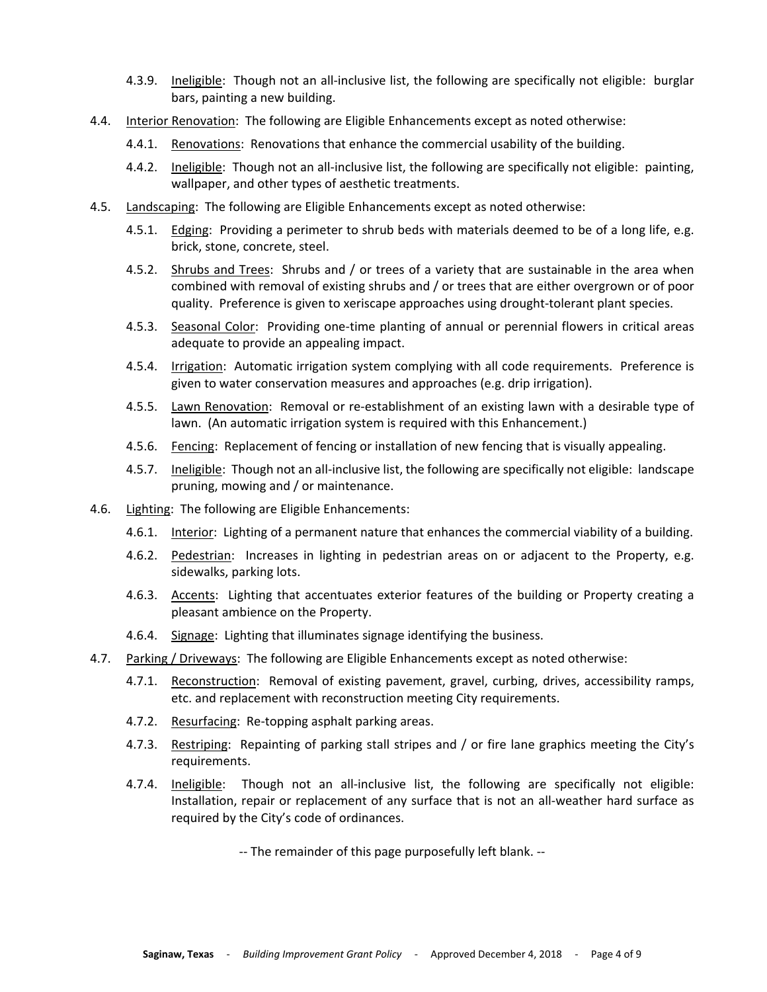- 4.3.9. Ineligible: Though not an all-inclusive list, the following are specifically not eligible: burglar bars, painting a new building.
- 4.4. Interior Renovation: The following are Eligible Enhancements except as noted otherwise:
	- 4.4.1. Renovations: Renovations that enhance the commercial usability of the building.
	- 4.4.2. Ineligible: Though not an all-inclusive list, the following are specifically not eligible: painting, wallpaper, and other types of aesthetic treatments.
- 4.5. Landscaping: The following are Eligible Enhancements except as noted otherwise:
	- 4.5.1. Edging: Providing a perimeter to shrub beds with materials deemed to be of a long life, e.g. brick, stone, concrete, steel.
	- 4.5.2. Shrubs and Trees: Shrubs and / or trees of a variety that are sustainable in the area when combined with removal of existing shrubs and / or trees that are either overgrown or of poor quality. Preference is given to xeriscape approaches using drought‐tolerant plant species.
	- 4.5.3. Seasonal Color: Providing one‐time planting of annual or perennial flowers in critical areas adequate to provide an appealing impact.
	- 4.5.4. Irrigation: Automatic irrigation system complying with all code requirements. Preference is given to water conservation measures and approaches (e.g. drip irrigation).
	- 4.5.5. Lawn Renovation: Removal or re-establishment of an existing lawn with a desirable type of lawn. (An automatic irrigation system is required with this Enhancement.)
	- 4.5.6. Fencing: Replacement of fencing or installation of new fencing that is visually appealing.
	- 4.5.7. Ineligible: Though not an all‐inclusive list, the following are specifically not eligible: landscape pruning, mowing and / or maintenance.
- 4.6. Lighting: The following are Eligible Enhancements:
	- 4.6.1. Interior: Lighting of a permanent nature that enhances the commercial viability of a building.
	- 4.6.2. Pedestrian: Increases in lighting in pedestrian areas on or adjacent to the Property, e.g. sidewalks, parking lots.
	- 4.6.3. Accents: Lighting that accentuates exterior features of the building or Property creating a pleasant ambience on the Property.
	- 4.6.4. Signage: Lighting that illuminates signage identifying the business.
- 4.7. Parking / Driveways: The following are Eligible Enhancements except as noted otherwise:
	- 4.7.1. Reconstruction: Removal of existing pavement, gravel, curbing, drives, accessibility ramps, etc. and replacement with reconstruction meeting City requirements.
	- 4.7.2. Resurfacing: Re-topping asphalt parking areas.
	- 4.7.3. Restriping: Repainting of parking stall stripes and / or fire lane graphics meeting the City's requirements.
	- 4.7.4. Ineligible: Though not an all-inclusive list, the following are specifically not eligible: Installation, repair or replacement of any surface that is not an all‐weather hard surface as required by the City's code of ordinances.

‐‐ The remainder of this page purposefully left blank. ‐‐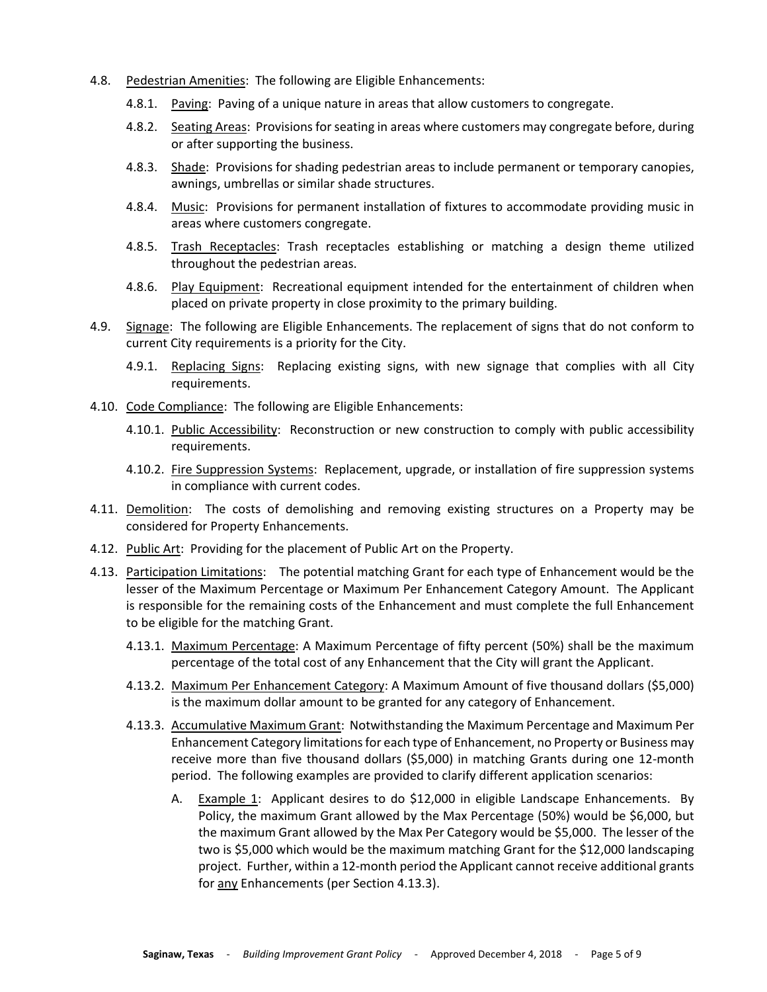- 4.8. Pedestrian Amenities: The following are Eligible Enhancements:
	- 4.8.1. Paving: Paving of a unique nature in areas that allow customers to congregate.
	- 4.8.2. Seating Areas: Provisions for seating in areas where customers may congregate before, during or after supporting the business.
	- 4.8.3. Shade: Provisions for shading pedestrian areas to include permanent or temporary canopies, awnings, umbrellas or similar shade structures.
	- 4.8.4. Music: Provisions for permanent installation of fixtures to accommodate providing music in areas where customers congregate.
	- 4.8.5. Trash Receptacles: Trash receptacles establishing or matching a design theme utilized throughout the pedestrian areas.
	- 4.8.6. Play Equipment: Recreational equipment intended for the entertainment of children when placed on private property in close proximity to the primary building.
- 4.9. Signage: The following are Eligible Enhancements. The replacement of signs that do not conform to current City requirements is a priority for the City.
	- 4.9.1. Replacing Signs: Replacing existing signs, with new signage that complies with all City requirements.
- 4.10. Code Compliance: The following are Eligible Enhancements:
	- 4.10.1. Public Accessibility: Reconstruction or new construction to comply with public accessibility requirements.
	- 4.10.2. Fire Suppression Systems: Replacement, upgrade, or installation of fire suppression systems in compliance with current codes.
- 4.11. Demolition: The costs of demolishing and removing existing structures on a Property may be considered for Property Enhancements.
- 4.12. Public Art: Providing for the placement of Public Art on the Property.
- 4.13. Participation Limitations: The potential matching Grant for each type of Enhancement would be the lesser of the Maximum Percentage or Maximum Per Enhancement Category Amount. The Applicant is responsible for the remaining costs of the Enhancement and must complete the full Enhancement to be eligible for the matching Grant.
	- 4.13.1. Maximum Percentage: A Maximum Percentage of fifty percent (50%) shall be the maximum percentage of the total cost of any Enhancement that the City will grant the Applicant.
	- 4.13.2. Maximum Per Enhancement Category: A Maximum Amount of five thousand dollars (\$5,000) is the maximum dollar amount to be granted for any category of Enhancement.
	- 4.13.3. Accumulative Maximum Grant: Notwithstanding the Maximum Percentage and Maximum Per Enhancement Category limitations for each type of Enhancement, no Property or Business may receive more than five thousand dollars (\$5,000) in matching Grants during one 12‐month period. The following examples are provided to clarify different application scenarios:
		- A. Example 1: Applicant desires to do \$12,000 in eligible Landscape Enhancements. By Policy, the maximum Grant allowed by the Max Percentage (50%) would be \$6,000, but the maximum Grant allowed by the Max Per Category would be \$5,000. The lesser of the two is \$5,000 which would be the maximum matching Grant for the \$12,000 landscaping project. Further, within a 12‐month period the Applicant cannot receive additional grants for any Enhancements (per Section 4.13.3).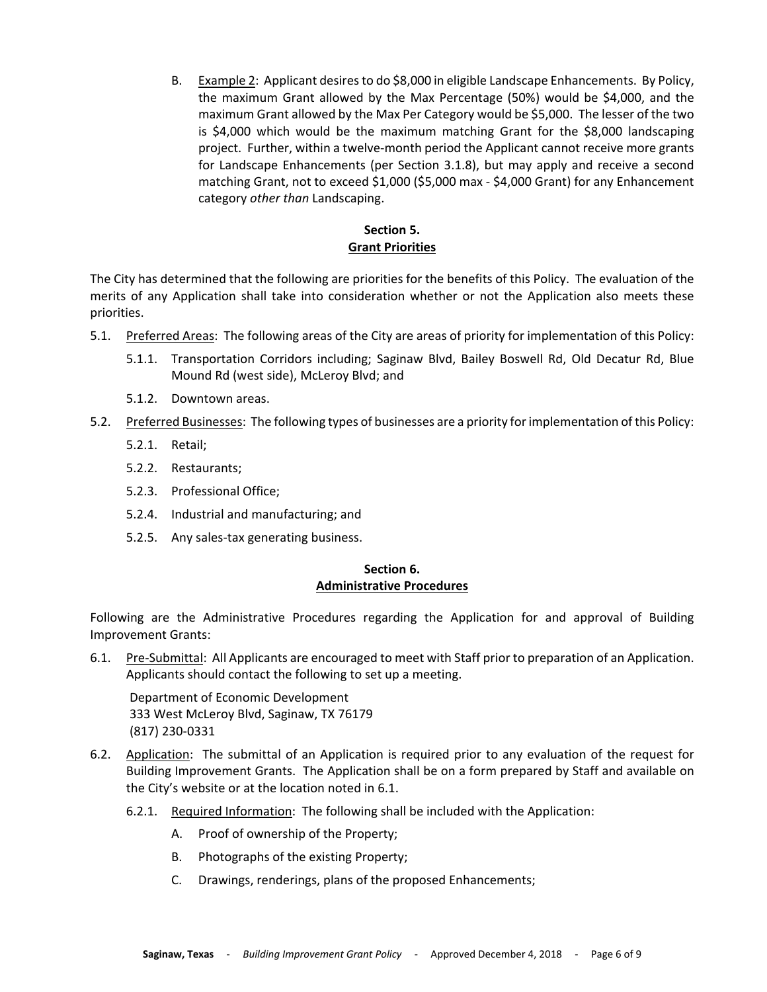B. Example 2: Applicant desires to do \$8,000 in eligible Landscape Enhancements. By Policy, the maximum Grant allowed by the Max Percentage (50%) would be \$4,000, and the maximum Grant allowed by the Max Per Category would be \$5,000. The lesser of the two is \$4,000 which would be the maximum matching Grant for the \$8,000 landscaping project. Further, within a twelve‐month period the Applicant cannot receive more grants for Landscape Enhancements (per Section 3.1.8), but may apply and receive a second matching Grant, not to exceed \$1,000 (\$5,000 max ‐ \$4,000 Grant) for any Enhancement category *other than* Landscaping.

### **Section 5. Grant Priorities**

The City has determined that the following are priorities for the benefits of this Policy. The evaluation of the merits of any Application shall take into consideration whether or not the Application also meets these priorities.

- 5.1. Preferred Areas: The following areas of the City are areas of priority for implementation of this Policy:
	- 5.1.1. Transportation Corridors including; Saginaw Blvd, Bailey Boswell Rd, Old Decatur Rd, Blue Mound Rd (west side), McLeroy Blvd; and
	- 5.1.2. Downtown areas.
- 5.2. Preferred Businesses: The following types of businesses are a priority for implementation of this Policy:
	- 5.2.1. Retail;
	- 5.2.2. Restaurants;
	- 5.2.3. Professional Office;
	- 5.2.4. Industrial and manufacturing; and
	- 5.2.5. Any sales-tax generating business.

#### **Section 6. Administrative Procedures**

## Following are the Administrative Procedures regarding the Application for and approval of Building Improvement Grants:

6.1. Pre‐Submittal: All Applicants are encouraged to meet with Staff prior to preparation of an Application. Applicants should contact the following to set up a meeting.

Department of Economic Development 333 West McLeroy Blvd, Saginaw, TX 76179 (817) 230‐0331

- 6.2. Application: The submittal of an Application is required prior to any evaluation of the request for Building Improvement Grants. The Application shall be on a form prepared by Staff and available on the City's website or at the location noted in 6.1.
	- 6.2.1. Required Information: The following shall be included with the Application:
		- A. Proof of ownership of the Property;
		- B. Photographs of the existing Property;
		- C. Drawings, renderings, plans of the proposed Enhancements;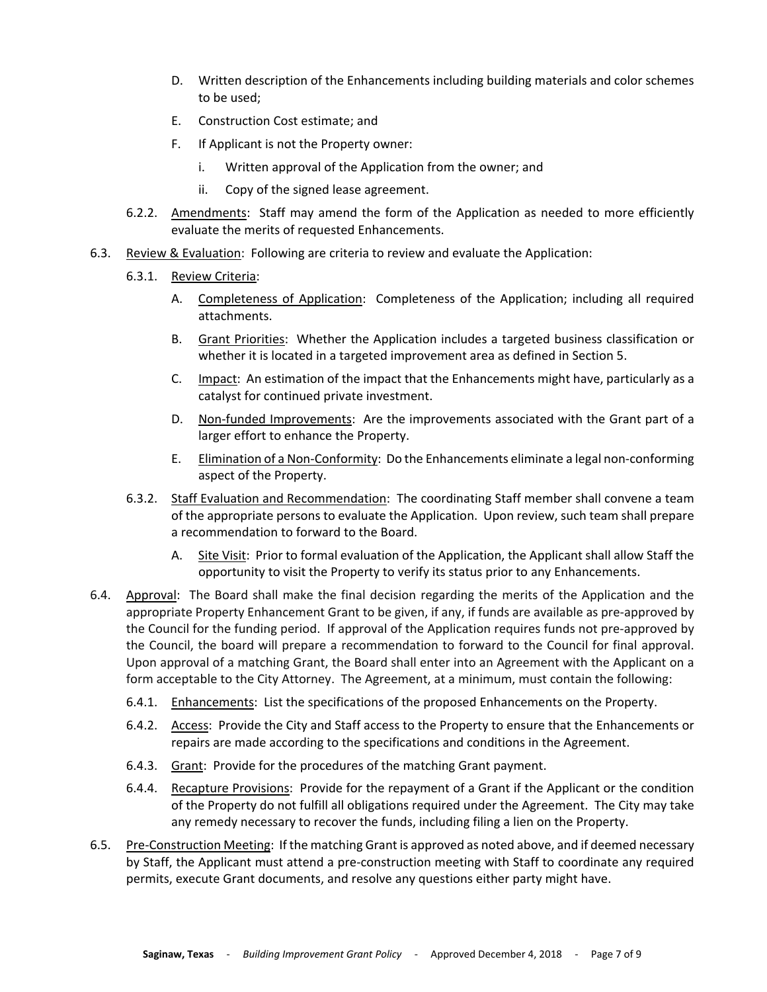- D. Written description of the Enhancements including building materials and color schemes to be used;
- E. Construction Cost estimate; and
- F. If Applicant is not the Property owner:
	- i. Written approval of the Application from the owner; and
	- ii. Copy of the signed lease agreement.
- 6.2.2. Amendments: Staff may amend the form of the Application as needed to more efficiently evaluate the merits of requested Enhancements.
- 6.3. Review & Evaluation: Following are criteria to review and evaluate the Application:
	- 6.3.1. Review Criteria:
		- A. Completeness of Application: Completeness of the Application; including all required attachments.
		- B. Grant Priorities: Whether the Application includes a targeted business classification or whether it is located in a targeted improvement area as defined in Section 5.
		- C. Impact: An estimation of the impact that the Enhancements might have, particularly as a catalyst for continued private investment.
		- D. Non-funded Improvements: Are the improvements associated with the Grant part of a larger effort to enhance the Property.
		- E. Elimination of a Non‐Conformity: Do the Enhancements eliminate a legal non‐conforming aspect of the Property.
	- 6.3.2. Staff Evaluation and Recommendation: The coordinating Staff member shall convene a team of the appropriate persons to evaluate the Application. Upon review, such team shall prepare a recommendation to forward to the Board.
		- A. Site Visit: Prior to formal evaluation of the Application, the Applicant shall allow Staff the opportunity to visit the Property to verify its status prior to any Enhancements.
- 6.4. Approval: The Board shall make the final decision regarding the merits of the Application and the appropriate Property Enhancement Grant to be given, if any, if funds are available as pre-approved by the Council for the funding period. If approval of the Application requires funds not pre‐approved by the Council, the board will prepare a recommendation to forward to the Council for final approval. Upon approval of a matching Grant, the Board shall enter into an Agreement with the Applicant on a form acceptable to the City Attorney. The Agreement, at a minimum, must contain the following:
	- 6.4.1. Enhancements: List the specifications of the proposed Enhancements on the Property.
	- 6.4.2. Access: Provide the City and Staff access to the Property to ensure that the Enhancements or repairs are made according to the specifications and conditions in the Agreement.
	- 6.4.3. Grant: Provide for the procedures of the matching Grant payment.
	- 6.4.4. Recapture Provisions: Provide for the repayment of a Grant if the Applicant or the condition of the Property do not fulfill all obligations required under the Agreement. The City may take any remedy necessary to recover the funds, including filing a lien on the Property.
- 6.5. Pre‐Construction Meeting: If the matching Grant is approved as noted above, and if deemed necessary by Staff, the Applicant must attend a pre‐construction meeting with Staff to coordinate any required permits, execute Grant documents, and resolve any questions either party might have.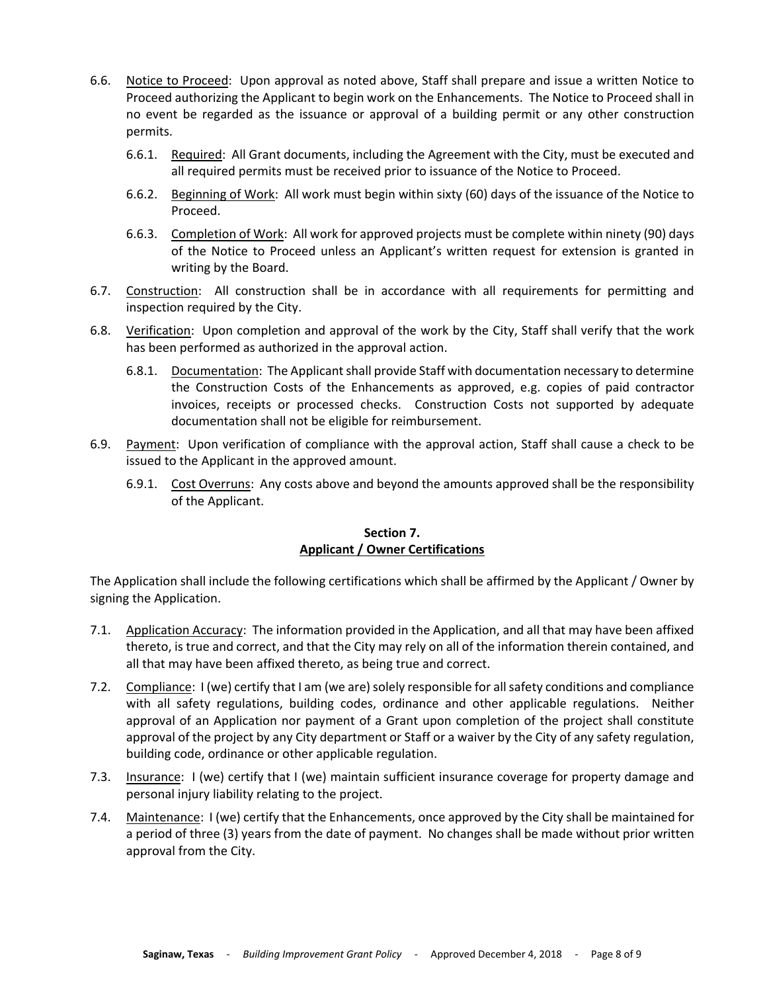- 6.6. Notice to Proceed: Upon approval as noted above, Staff shall prepare and issue a written Notice to Proceed authorizing the Applicant to begin work on the Enhancements. The Notice to Proceed shall in no event be regarded as the issuance or approval of a building permit or any other construction permits.
	- 6.6.1. Required: All Grant documents, including the Agreement with the City, must be executed and all required permits must be received prior to issuance of the Notice to Proceed.
	- 6.6.2. Beginning of Work: All work must begin within sixty (60) days of the issuance of the Notice to Proceed.
	- 6.6.3. Completion of Work: All work for approved projects must be complete within ninety (90) days of the Notice to Proceed unless an Applicant's written request for extension is granted in writing by the Board.
- 6.7. Construction: All construction shall be in accordance with all requirements for permitting and inspection required by the City.
- 6.8. Verification: Upon completion and approval of the work by the City, Staff shall verify that the work has been performed as authorized in the approval action.
	- 6.8.1. Documentation: The Applicant shall provide Staff with documentation necessary to determine the Construction Costs of the Enhancements as approved, e.g. copies of paid contractor invoices, receipts or processed checks. Construction Costs not supported by adequate documentation shall not be eligible for reimbursement.
- 6.9. Payment: Upon verification of compliance with the approval action, Staff shall cause a check to be issued to the Applicant in the approved amount.
	- 6.9.1. Cost Overruns: Any costs above and beyond the amounts approved shall be the responsibility of the Applicant.

# **Section 7. Applicant / Owner Certifications**

The Application shall include the following certifications which shall be affirmed by the Applicant / Owner by signing the Application.

- 7.1. Application Accuracy: The information provided in the Application, and all that may have been affixed thereto, is true and correct, and that the City may rely on all of the information therein contained, and all that may have been affixed thereto, as being true and correct.
- 7.2. Compliance: I (we) certify that I am (we are) solely responsible for all safety conditions and compliance with all safety regulations, building codes, ordinance and other applicable regulations. Neither approval of an Application nor payment of a Grant upon completion of the project shall constitute approval of the project by any City department or Staff or a waiver by the City of any safety regulation, building code, ordinance or other applicable regulation.
- 7.3. Insurance: I (we) certify that I (we) maintain sufficient insurance coverage for property damage and personal injury liability relating to the project.
- 7.4. Maintenance: I (we) certify that the Enhancements, once approved by the City shall be maintained for a period of three (3) years from the date of payment. No changes shall be made without prior written approval from the City.